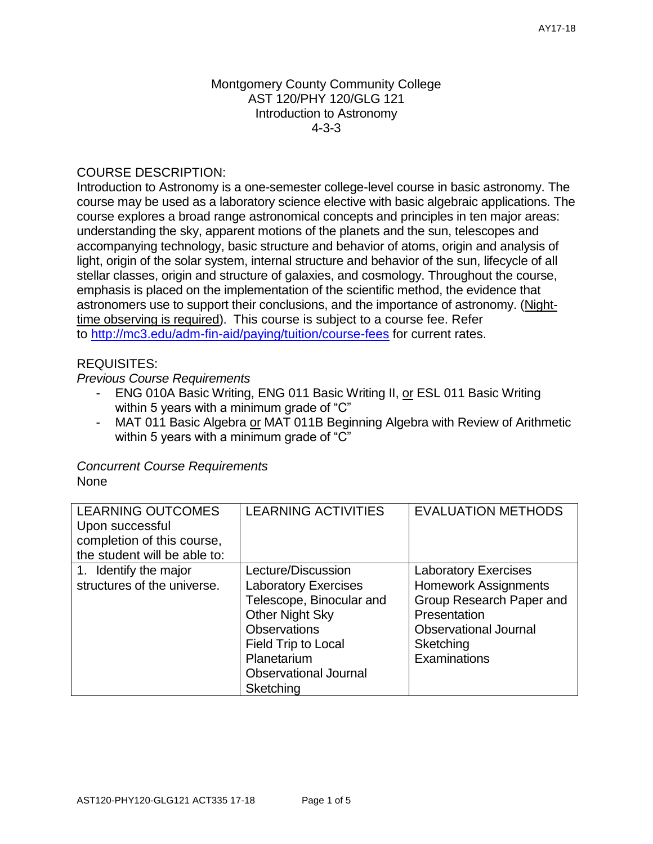### Montgomery County Community College AST 120/PHY 120/GLG 121 Introduction to Astronomy 4-3-3

# COURSE DESCRIPTION:

Introduction to Astronomy is a one-semester college-level course in basic astronomy. The course may be used as a laboratory science elective with basic algebraic applications. The course explores a broad range astronomical concepts and principles in ten major areas: understanding the sky, apparent motions of the planets and the sun, telescopes and accompanying technology, basic structure and behavior of atoms, origin and analysis of light, origin of the solar system, internal structure and behavior of the sun, lifecycle of all stellar classes, origin and structure of galaxies, and cosmology. Throughout the course, emphasis is placed on the implementation of the scientific method, the evidence that astronomers use to support their conclusions, and the importance of astronomy. (Nighttime observing is required). This course is subject to a course fee. Refer to <http://mc3.edu/adm-fin-aid/paying/tuition/course-fees> for current rates.

# REQUISITES:

# *Previous Course Requirements*

- ENG 010A Basic Writing, ENG 011 Basic Writing II, or ESL 011 Basic Writing within 5 years with a minimum grade of "C"
- MAT 011 Basic Algebra or MAT 011B Beginning Algebra with Review of Arithmetic within 5 years with a minimum grade of "C"

#### *Concurrent Course Requirements* None

| <b>LEARNING OUTCOMES</b><br>Upon successful<br>completion of this course,<br>the student will be able to: | <b>LEARNING ACTIVITIES</b>                                                                                                                                                                    | <b>EVALUATION METHODS</b>                                                                                                                                           |
|-----------------------------------------------------------------------------------------------------------|-----------------------------------------------------------------------------------------------------------------------------------------------------------------------------------------------|---------------------------------------------------------------------------------------------------------------------------------------------------------------------|
| 1. Identify the major<br>structures of the universe.                                                      | Lecture/Discussion<br><b>Laboratory Exercises</b><br>Telescope, Binocular and<br><b>Other Night Sky</b><br><b>Observations</b><br>Field Trip to Local<br>Planetarium<br>Observational Journal | <b>Laboratory Exercises</b><br><b>Homework Assignments</b><br>Group Research Paper and<br>Presentation<br><b>Observational Journal</b><br>Sketching<br>Examinations |
|                                                                                                           | Sketching                                                                                                                                                                                     |                                                                                                                                                                     |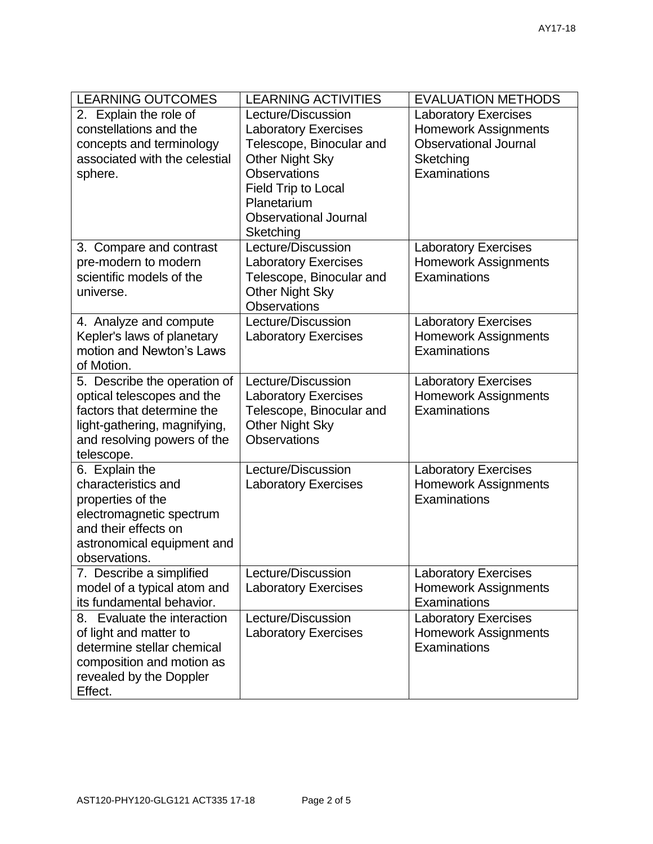| <b>LEARNING OUTCOMES</b>                                                                                                                                              | <b>LEARNING ACTIVITIES</b>                                                                                                                                                                                        | <b>EVALUATION METHODS</b>                                                                                               |  |
|-----------------------------------------------------------------------------------------------------------------------------------------------------------------------|-------------------------------------------------------------------------------------------------------------------------------------------------------------------------------------------------------------------|-------------------------------------------------------------------------------------------------------------------------|--|
| 2. Explain the role of<br>constellations and the<br>concepts and terminology<br>associated with the celestial<br>sphere.                                              | Lecture/Discussion<br><b>Laboratory Exercises</b><br>Telescope, Binocular and<br><b>Other Night Sky</b><br><b>Observations</b><br>Field Trip to Local<br>Planetarium<br><b>Observational Journal</b><br>Sketching | <b>Laboratory Exercises</b><br><b>Homework Assignments</b><br><b>Observational Journal</b><br>Sketching<br>Examinations |  |
| 3. Compare and contrast<br>pre-modern to modern<br>scientific models of the<br>universe.                                                                              | Lecture/Discussion<br><b>Laboratory Exercises</b><br>Telescope, Binocular and<br>Other Night Sky<br><b>Observations</b>                                                                                           | <b>Laboratory Exercises</b><br><b>Homework Assignments</b><br>Examinations                                              |  |
| 4. Analyze and compute<br>Kepler's laws of planetary<br>motion and Newton's Laws<br>of Motion.                                                                        | Lecture/Discussion<br><b>Laboratory Exercises</b>                                                                                                                                                                 | <b>Laboratory Exercises</b><br><b>Homework Assignments</b><br>Examinations                                              |  |
| 5. Describe the operation of<br>optical telescopes and the<br>factors that determine the<br>light-gathering, magnifying,<br>and resolving powers of the<br>telescope. | Lecture/Discussion<br><b>Laboratory Exercises</b><br>Telescope, Binocular and<br><b>Other Night Sky</b><br><b>Observations</b>                                                                                    | <b>Laboratory Exercises</b><br><b>Homework Assignments</b><br>Examinations                                              |  |
| 6. Explain the<br>characteristics and<br>properties of the<br>electromagnetic spectrum<br>and their effects on<br>astronomical equipment and<br>observations.         | Lecture/Discussion<br><b>Laboratory Exercises</b>                                                                                                                                                                 | <b>Laboratory Exercises</b><br><b>Homework Assignments</b><br>Examinations                                              |  |
| 7. Describe a simplified<br>model of a typical atom and<br>its fundamental behavior.                                                                                  | Lecture/Discussion<br><b>Laboratory Exercises</b>                                                                                                                                                                 | <b>Laboratory Exercises</b><br><b>Homework Assignments</b><br>Examinations                                              |  |
| 8. Evaluate the interaction<br>of light and matter to<br>determine stellar chemical<br>composition and motion as<br>revealed by the Doppler<br>Effect.                | Lecture/Discussion<br><b>Laboratory Exercises</b>                                                                                                                                                                 | <b>Laboratory Exercises</b><br><b>Homework Assignments</b><br>Examinations                                              |  |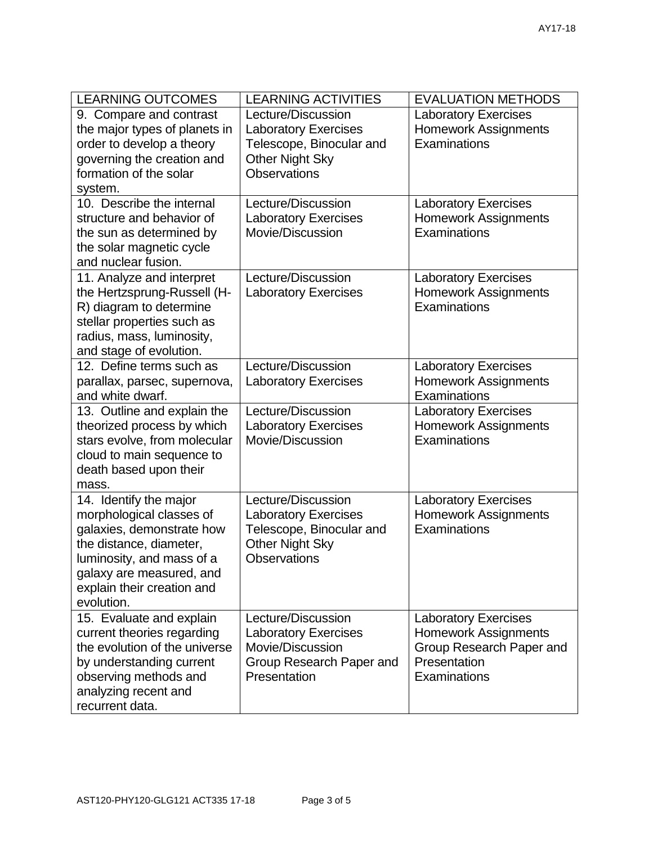| <b>LEARNING OUTCOMES</b>                                                                                                                                                                                        | <b>LEARNING ACTIVITIES</b>                                                                                                     | <b>EVALUATION METHODS</b>                                                                                              |  |
|-----------------------------------------------------------------------------------------------------------------------------------------------------------------------------------------------------------------|--------------------------------------------------------------------------------------------------------------------------------|------------------------------------------------------------------------------------------------------------------------|--|
| 9. Compare and contrast<br>the major types of planets in<br>order to develop a theory<br>governing the creation and<br>formation of the solar<br>system.                                                        | Lecture/Discussion<br><b>Laboratory Exercises</b><br>Telescope, Binocular and<br><b>Other Night Sky</b><br><b>Observations</b> | <b>Laboratory Exercises</b><br><b>Homework Assignments</b><br>Examinations                                             |  |
| 10. Describe the internal<br>structure and behavior of<br>the sun as determined by<br>the solar magnetic cycle<br>and nuclear fusion.                                                                           | Lecture/Discussion<br><b>Laboratory Exercises</b><br>Movie/Discussion                                                          | <b>Laboratory Exercises</b><br><b>Homework Assignments</b><br>Examinations                                             |  |
| 11. Analyze and interpret<br>the Hertzsprung-Russell (H-<br>R) diagram to determine<br>stellar properties such as<br>radius, mass, luminosity,<br>and stage of evolution.                                       | Lecture/Discussion<br><b>Laboratory Exercises</b>                                                                              | <b>Laboratory Exercises</b><br><b>Homework Assignments</b><br>Examinations                                             |  |
| 12. Define terms such as<br>parallax, parsec, supernova,<br>and white dwarf.                                                                                                                                    | Lecture/Discussion<br><b>Laboratory Exercises</b>                                                                              | <b>Laboratory Exercises</b><br><b>Homework Assignments</b><br>Examinations                                             |  |
| 13. Outline and explain the<br>theorized process by which<br>stars evolve, from molecular<br>cloud to main sequence to<br>death based upon their<br>mass.                                                       | Lecture/Discussion<br><b>Laboratory Exercises</b><br>Movie/Discussion                                                          | <b>Laboratory Exercises</b><br><b>Homework Assignments</b><br>Examinations                                             |  |
| 14. Identify the major<br>morphological classes of<br>galaxies, demonstrate how<br>the distance, diameter,<br>luminosity, and mass of a<br>galaxy are measured, and<br>explain their creation and<br>evolution. | Lecture/Discussion<br><b>Laboratory Exercises</b><br>Telescope, Binocular and<br><b>Other Night Sky</b><br>Observations        | <b>Laboratory Exercises</b><br><b>Homework Assignments</b><br>Examinations                                             |  |
| 15. Evaluate and explain<br>current theories regarding<br>the evolution of the universe<br>by understanding current<br>observing methods and<br>analyzing recent and<br>recurrent data.                         | Lecture/Discussion<br><b>Laboratory Exercises</b><br>Movie/Discussion<br>Group Research Paper and<br>Presentation              | <b>Laboratory Exercises</b><br><b>Homework Assignments</b><br>Group Research Paper and<br>Presentation<br>Examinations |  |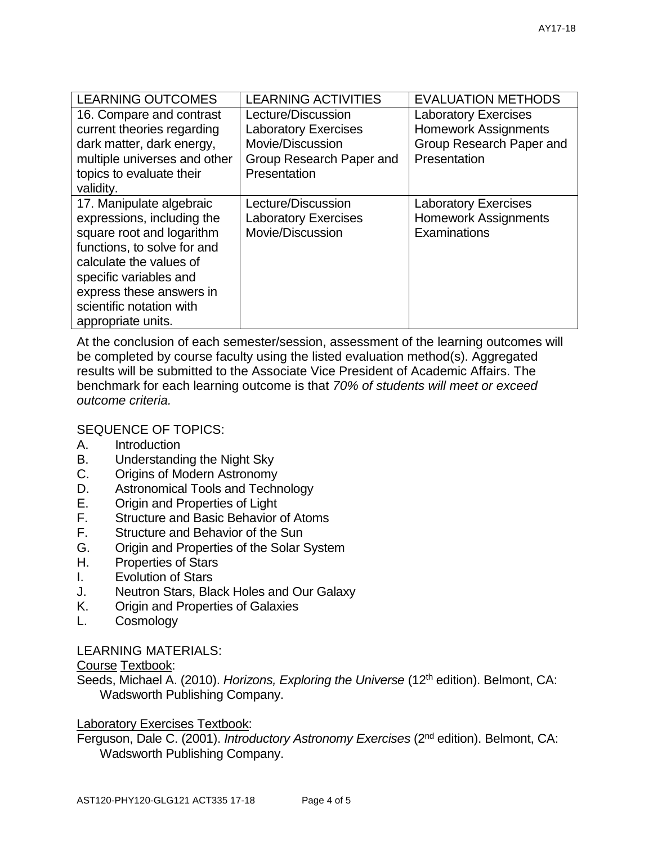| <b>LEARNING OUTCOMES</b>     | <b>LEARNING ACTIVITIES</b>  | <b>EVALUATION METHODS</b>   |  |  |
|------------------------------|-----------------------------|-----------------------------|--|--|
| 16. Compare and contrast     | Lecture/Discussion          | <b>Laboratory Exercises</b> |  |  |
| current theories regarding   | <b>Laboratory Exercises</b> | <b>Homework Assignments</b> |  |  |
| dark matter, dark energy,    | Movie/Discussion            | Group Research Paper and    |  |  |
| multiple universes and other | Group Research Paper and    | Presentation                |  |  |
| topics to evaluate their     | Presentation                |                             |  |  |
| validity.                    |                             |                             |  |  |
| 17. Manipulate algebraic     | Lecture/Discussion          | <b>Laboratory Exercises</b> |  |  |
| expressions, including the   | <b>Laboratory Exercises</b> | <b>Homework Assignments</b> |  |  |
| square root and logarithm    | Movie/Discussion            | Examinations                |  |  |
| functions, to solve for and  |                             |                             |  |  |
| calculate the values of      |                             |                             |  |  |
| specific variables and       |                             |                             |  |  |
| express these answers in     |                             |                             |  |  |
| scientific notation with     |                             |                             |  |  |
| appropriate units.           |                             |                             |  |  |

At the conclusion of each semester/session, assessment of the learning outcomes will be completed by course faculty using the listed evaluation method(s). Aggregated results will be submitted to the Associate Vice President of Academic Affairs. The benchmark for each learning outcome is that *70% of students will meet or exceed outcome criteria.*

# SEQUENCE OF TOPICS:

- A. Introduction
- B. Understanding the Night Sky
- C. Origins of Modern Astronomy
- D. Astronomical Tools and Technology
- E. Origin and Properties of Light
- F. Structure and Basic Behavior of Atoms
- F. Structure and Behavior of the Sun
- G. Origin and Properties of the Solar System
- H. Properties of Stars
- I. Evolution of Stars
- J. Neutron Stars, Black Holes and Our Galaxy
- K. Origin and Properties of Galaxies
- L. Cosmology

### LEARNING MATERIALS:

### Course Textbook:

Seeds, Michael A. (2010). *Horizons, Exploring the Universe* (12<sup>th</sup> edition). Belmont, CA: Wadsworth Publishing Company.

### Laboratory Exercises Textbook:

Ferguson, Dale C. (2001). *Introductory Astronomy Exercises* (2nd edition). Belmont, CA: Wadsworth Publishing Company.